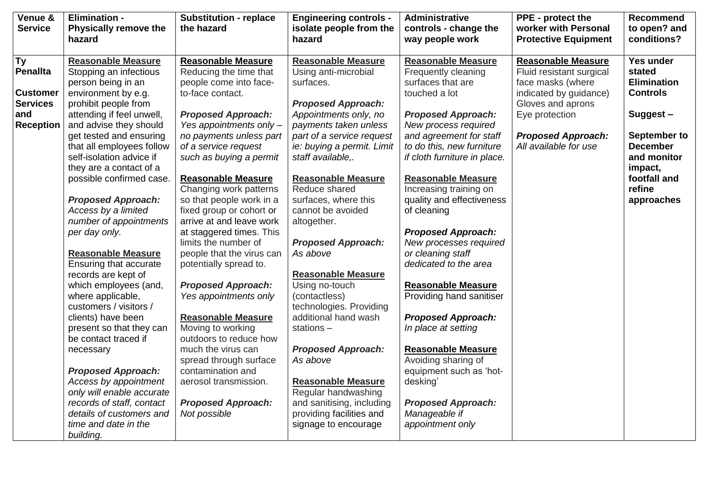| Venue &<br><b>Service</b> | <b>Elimination -</b><br><b>Physically remove the</b><br>hazard | <b>Substitution - replace</b><br>the hazard | <b>Engineering controls -</b><br>isolate people from the<br>hazard | Administrative<br>controls - change the<br>way people work | PPE - protect the<br>worker with Personal<br><b>Protective Equipment</b> | <b>Recommend</b><br>to open? and<br>conditions? |
|---------------------------|----------------------------------------------------------------|---------------------------------------------|--------------------------------------------------------------------|------------------------------------------------------------|--------------------------------------------------------------------------|-------------------------------------------------|
| $\overline{\mathsf{Ty}}$  | <b>Reasonable Measure</b>                                      | <b>Reasonable Measure</b>                   | <b>Reasonable Measure</b>                                          | <b>Reasonable Measure</b>                                  | <b>Reasonable Measure</b>                                                | Yes under                                       |
| <b>Penallta</b>           | Stopping an infectious                                         | Reducing the time that                      | Using anti-microbial                                               | Frequently cleaning                                        | Fluid resistant surgical                                                 | stated                                          |
|                           | person being in an                                             | people come into face-                      | surfaces.                                                          | surfaces that are                                          | face masks (where                                                        | <b>Elimination</b>                              |
| <b>Customer</b>           | environment by e.g.                                            | to-face contact.                            |                                                                    | touched a lot                                              | indicated by guidance)                                                   | <b>Controls</b>                                 |
| <b>Services</b>           | prohibit people from                                           |                                             | <b>Proposed Approach:</b>                                          |                                                            | Gloves and aprons                                                        |                                                 |
| and                       | attending if feel unwell,                                      | <b>Proposed Approach:</b>                   | Appointments only, no                                              | <b>Proposed Approach:</b>                                  | Eye protection                                                           | Suggest-                                        |
| <b>Reception</b>          | and advise they should                                         | Yes appointments only -                     | payments taken unless                                              | New process required                                       |                                                                          |                                                 |
|                           | get tested and ensuring                                        | no payments unless part                     | part of a service request                                          | and agreement for staff                                    | <b>Proposed Approach:</b>                                                | September to                                    |
|                           | that all employees follow                                      | of a service request                        | ie: buying a permit. Limit                                         | to do this, new furniture                                  | All available for use                                                    | <b>December</b>                                 |
|                           | self-isolation advice if                                       | such as buying a permit                     | staff available,.                                                  | if cloth furniture in place.                               |                                                                          | and monitor                                     |
|                           | they are a contact of a                                        |                                             |                                                                    |                                                            |                                                                          | impact,                                         |
|                           | possible confirmed case.                                       | <b>Reasonable Measure</b>                   | <b>Reasonable Measure</b>                                          | <b>Reasonable Measure</b>                                  |                                                                          | footfall and                                    |
|                           |                                                                | Changing work patterns                      | Reduce shared                                                      | Increasing training on                                     |                                                                          | refine                                          |
|                           | <b>Proposed Approach:</b>                                      | so that people work in a                    | surfaces, where this                                               | quality and effectiveness                                  |                                                                          | approaches                                      |
|                           | Access by a limited                                            | fixed group or cohort or                    | cannot be avoided                                                  | of cleaning                                                |                                                                          |                                                 |
|                           | number of appointments                                         | arrive at and leave work                    | altogether.                                                        |                                                            |                                                                          |                                                 |
|                           | per day only.                                                  | at staggered times. This                    |                                                                    | <b>Proposed Approach:</b>                                  |                                                                          |                                                 |
|                           |                                                                | limits the number of                        | <b>Proposed Approach:</b>                                          | New processes required                                     |                                                                          |                                                 |
|                           | <b>Reasonable Measure</b>                                      | people that the virus can                   | As above                                                           | or cleaning staff                                          |                                                                          |                                                 |
|                           | Ensuring that accurate                                         | potentially spread to.                      |                                                                    | dedicated to the area                                      |                                                                          |                                                 |
|                           | records are kept of                                            |                                             | <b>Reasonable Measure</b>                                          |                                                            |                                                                          |                                                 |
|                           | which employees (and,                                          | <b>Proposed Approach:</b>                   | Using no-touch                                                     | <b>Reasonable Measure</b>                                  |                                                                          |                                                 |
|                           | where applicable,                                              | Yes appointments only                       | (contactless)                                                      | Providing hand sanitiser                                   |                                                                          |                                                 |
|                           | customers / visitors /                                         |                                             | technologies. Providing                                            |                                                            |                                                                          |                                                 |
|                           | clients) have been                                             | <b>Reasonable Measure</b>                   | additional hand wash                                               | <b>Proposed Approach:</b>                                  |                                                                          |                                                 |
|                           | present so that they can                                       | Moving to working                           | stations $-$                                                       | In place at setting                                        |                                                                          |                                                 |
|                           | be contact traced if                                           | outdoors to reduce how                      |                                                                    |                                                            |                                                                          |                                                 |
|                           | necessary                                                      | much the virus can                          | <b>Proposed Approach:</b>                                          | <b>Reasonable Measure</b>                                  |                                                                          |                                                 |
|                           |                                                                | spread through surface                      | As above                                                           | Avoiding sharing of                                        |                                                                          |                                                 |
|                           | <b>Proposed Approach:</b>                                      | contamination and                           |                                                                    | equipment such as 'hot-                                    |                                                                          |                                                 |
|                           | Access by appointment                                          | aerosol transmission.                       | <b>Reasonable Measure</b>                                          | desking'                                                   |                                                                          |                                                 |
|                           | only will enable accurate                                      |                                             | Regular handwashing                                                |                                                            |                                                                          |                                                 |
|                           | records of staff, contact                                      | <b>Proposed Approach:</b>                   | and sanitising, including                                          | <b>Proposed Approach:</b>                                  |                                                                          |                                                 |
|                           | details of customers and                                       | Not possible                                | providing facilities and                                           | Manageable if                                              |                                                                          |                                                 |
|                           | time and date in the<br>building.                              |                                             | signage to encourage                                               | appointment only                                           |                                                                          |                                                 |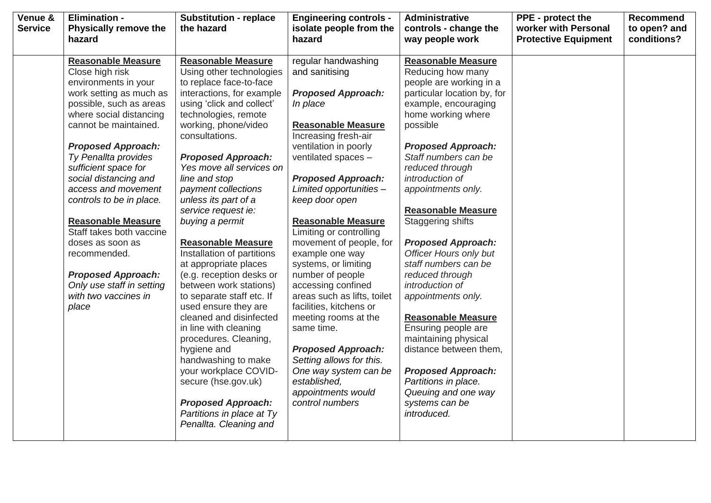| Venue &        | <b>Elimination -</b>         | <b>Substitution - replace</b>          | <b>Engineering controls -</b> | Administrative                | PPE - protect the           | Recommend    |
|----------------|------------------------------|----------------------------------------|-------------------------------|-------------------------------|-----------------------------|--------------|
| <b>Service</b> | <b>Physically remove the</b> | the hazard                             | isolate people from the       | controls - change the         | worker with Personal        | to open? and |
|                | hazard                       |                                        | hazard                        | way people work               | <b>Protective Equipment</b> | conditions?  |
|                |                              | <b>Reasonable Measure</b>              |                               | <b>Reasonable Measure</b>     |                             |              |
|                | <b>Reasonable Measure</b>    |                                        | regular handwashing           |                               |                             |              |
|                | Close high risk              | Using other technologies               | and sanitising                | Reducing how many             |                             |              |
|                | environments in your         | to replace face-to-face                |                               | people are working in a       |                             |              |
|                | work setting as much as      | interactions, for example              | <b>Proposed Approach:</b>     | particular location by, for   |                             |              |
|                | possible, such as areas      | using 'click and collect'              | In place                      | example, encouraging          |                             |              |
|                | where social distancing      | technologies, remote                   |                               | home working where            |                             |              |
|                | cannot be maintained.        | working, phone/video<br>consultations. | <b>Reasonable Measure</b>     | possible                      |                             |              |
|                |                              |                                        | Increasing fresh-air          |                               |                             |              |
|                | <b>Proposed Approach:</b>    |                                        | ventilation in poorly         | <b>Proposed Approach:</b>     |                             |              |
|                | Ty Penallta provides         | <b>Proposed Approach:</b>              | ventilated spaces -           | Staff numbers can be          |                             |              |
|                | sufficient space for         | Yes move all services on               |                               | reduced through               |                             |              |
|                | social distancing and        | line and stop                          | <b>Proposed Approach:</b>     | introduction of               |                             |              |
|                | access and movement          | payment collections                    | Limited opportunities -       | appointments only.            |                             |              |
|                | controls to be in place.     | unless its part of a                   | keep door open                |                               |                             |              |
|                |                              | service request ie:                    |                               | <b>Reasonable Measure</b>     |                             |              |
|                | <b>Reasonable Measure</b>    | buying a permit                        | <b>Reasonable Measure</b>     | <b>Staggering shifts</b>      |                             |              |
|                | Staff takes both vaccine     |                                        | Limiting or controlling       |                               |                             |              |
|                | doses as soon as             | <b>Reasonable Measure</b>              | movement of people, for       | <b>Proposed Approach:</b>     |                             |              |
|                | recommended.                 | Installation of partitions             | example one way               | <b>Officer Hours only but</b> |                             |              |
|                |                              | at appropriate places                  | systems, or limiting          | staff numbers can be          |                             |              |
|                | <b>Proposed Approach:</b>    | (e.g. reception desks or               | number of people              | reduced through               |                             |              |
|                | Only use staff in setting    | between work stations)                 | accessing confined            | introduction of               |                             |              |
|                | with two vaccines in         | to separate staff etc. If              | areas such as lifts, toilet   | appointments only.            |                             |              |
|                | place                        | used ensure they are                   | facilities, kitchens or       |                               |                             |              |
|                |                              | cleaned and disinfected                | meeting rooms at the          | <b>Reasonable Measure</b>     |                             |              |
|                |                              | in line with cleaning                  | same time.                    | Ensuring people are           |                             |              |
|                |                              | procedures. Cleaning,                  |                               | maintaining physical          |                             |              |
|                |                              | hygiene and                            | <b>Proposed Approach:</b>     | distance between them,        |                             |              |
|                |                              | handwashing to make                    | Setting allows for this.      |                               |                             |              |
|                |                              | your workplace COVID-                  | One way system can be         | <b>Proposed Approach:</b>     |                             |              |
|                |                              | secure (hse.gov.uk)                    | established,                  | Partitions in place.          |                             |              |
|                |                              |                                        | appointments would            | Queuing and one way           |                             |              |
|                |                              | <b>Proposed Approach:</b>              | control numbers               | systems can be                |                             |              |
|                |                              | Partitions in place at Ty              |                               | introduced.                   |                             |              |
|                |                              | Penallta. Cleaning and                 |                               |                               |                             |              |
|                |                              |                                        |                               |                               |                             |              |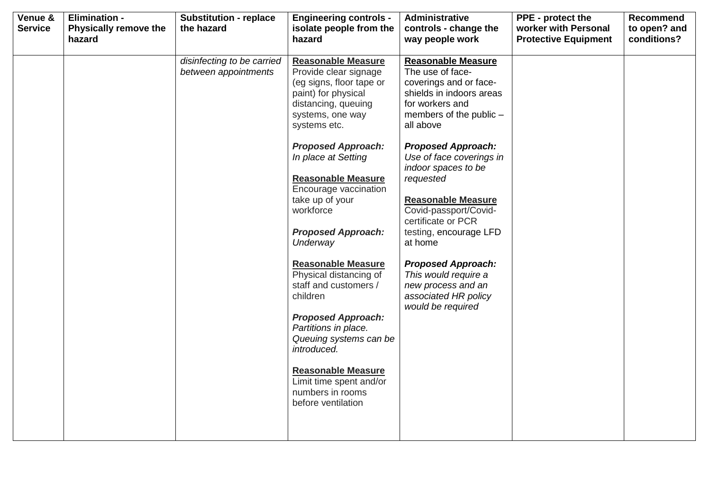| Venue &<br><b>Service</b> | <b>Elimination -</b><br><b>Physically remove the</b><br>hazard | <b>Substitution - replace</b><br>the hazard        | <b>Engineering controls -</b><br>isolate people from the<br>hazard                                                                                                                                                                                                                                                                                                                                                                                                                                                                            | Administrative<br>controls - change the<br>way people work                                                                                                                                                                                                                                                                                                                                                                                                                                           | PPE - protect the<br>worker with Personal<br><b>Protective Equipment</b> | <b>Recommend</b><br>to open? and<br>conditions? |
|---------------------------|----------------------------------------------------------------|----------------------------------------------------|-----------------------------------------------------------------------------------------------------------------------------------------------------------------------------------------------------------------------------------------------------------------------------------------------------------------------------------------------------------------------------------------------------------------------------------------------------------------------------------------------------------------------------------------------|------------------------------------------------------------------------------------------------------------------------------------------------------------------------------------------------------------------------------------------------------------------------------------------------------------------------------------------------------------------------------------------------------------------------------------------------------------------------------------------------------|--------------------------------------------------------------------------|-------------------------------------------------|
|                           |                                                                | disinfecting to be carried<br>between appointments | <b>Reasonable Measure</b><br>Provide clear signage<br>(eg signs, floor tape or<br>paint) for physical<br>distancing, queuing<br>systems, one way<br>systems etc.<br><b>Proposed Approach:</b><br>In place at Setting<br><b>Reasonable Measure</b><br>Encourage vaccination<br>take up of your<br>workforce<br><b>Proposed Approach:</b><br>Underway<br><b>Reasonable Measure</b><br>Physical distancing of<br>staff and customers /<br>children<br><b>Proposed Approach:</b><br>Partitions in place.<br>Queuing systems can be<br>introduced. | <b>Reasonable Measure</b><br>The use of face-<br>coverings and or face-<br>shields in indoors areas<br>for workers and<br>members of the public -<br>all above<br><b>Proposed Approach:</b><br>Use of face coverings in<br>indoor spaces to be<br>requested<br><b>Reasonable Measure</b><br>Covid-passport/Covid-<br>certificate or PCR<br>testing, encourage LFD<br>at home<br><b>Proposed Approach:</b><br>This would require a<br>new process and an<br>associated HR policy<br>would be required |                                                                          |                                                 |
|                           |                                                                |                                                    | <b>Reasonable Measure</b><br>Limit time spent and/or<br>numbers in rooms<br>before ventilation                                                                                                                                                                                                                                                                                                                                                                                                                                                |                                                                                                                                                                                                                                                                                                                                                                                                                                                                                                      |                                                                          |                                                 |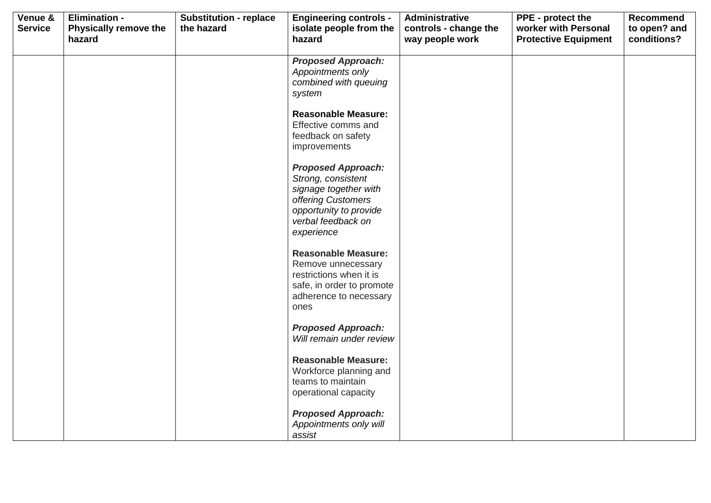| Venue &<br><b>Service</b> | <b>Elimination -</b><br><b>Physically remove the</b> | <b>Substitution - replace</b><br>the hazard | <b>Engineering controls -</b><br>isolate people from the                                                                                                     | Administrative<br>controls - change the | PPE - protect the<br>worker with Personal | Recommend<br>to open? and |
|---------------------------|------------------------------------------------------|---------------------------------------------|--------------------------------------------------------------------------------------------------------------------------------------------------------------|-----------------------------------------|-------------------------------------------|---------------------------|
|                           | hazard                                               |                                             | hazard                                                                                                                                                       | way people work                         | <b>Protective Equipment</b>               | conditions?               |
|                           |                                                      |                                             | <b>Proposed Approach:</b><br>Appointments only<br>combined with queuing<br>system                                                                            |                                         |                                           |                           |
|                           |                                                      |                                             | <b>Reasonable Measure:</b><br>Effective comms and<br>feedback on safety<br>improvements                                                                      |                                         |                                           |                           |
|                           |                                                      |                                             | <b>Proposed Approach:</b><br>Strong, consistent<br>signage together with<br>offering Customers<br>opportunity to provide<br>verbal feedback on<br>experience |                                         |                                           |                           |
|                           |                                                      |                                             | <b>Reasonable Measure:</b><br>Remove unnecessary<br>restrictions when it is<br>safe, in order to promote<br>adherence to necessary<br>ones                   |                                         |                                           |                           |
|                           |                                                      |                                             | <b>Proposed Approach:</b><br>Will remain under review                                                                                                        |                                         |                                           |                           |
|                           |                                                      |                                             | <b>Reasonable Measure:</b><br>Workforce planning and<br>teams to maintain<br>operational capacity                                                            |                                         |                                           |                           |
|                           |                                                      |                                             | <b>Proposed Approach:</b><br>Appointments only will<br>assist                                                                                                |                                         |                                           |                           |